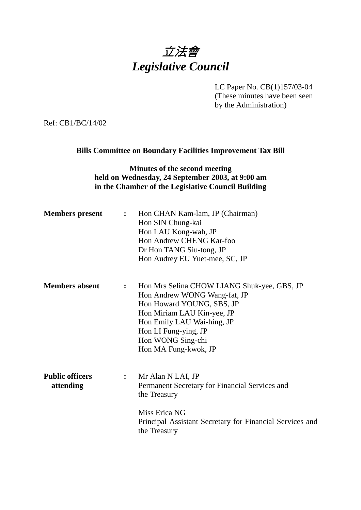# 立法會 *Legislative Council*

LC Paper No. CB(1)157/03-04 (These minutes have been seen by the Administration)

Ref: CB1/BC/14/02

## **Bills Committee on Boundary Facilities Improvement Tax Bill**

# **Minutes of the second meeting held on Wednesday, 24 September 2003, at 9:00 am in the Chamber of the Legislative Council Building**

| Hon Mrs Selina CHOW LIANG Shuk-yee, GBS, JP<br>Hon Andrew WONG Wang-fat, JP<br>Hon Howard YOUNG, SBS, JP<br>Hon Miriam LAU Kin-yee, JP<br>Hon Emily LAU Wai-hing, JP |
|----------------------------------------------------------------------------------------------------------------------------------------------------------------------|
| Permanent Secretary for Financial Services and<br>Principal Assistant Secretary for Financial Services and                                                           |
|                                                                                                                                                                      |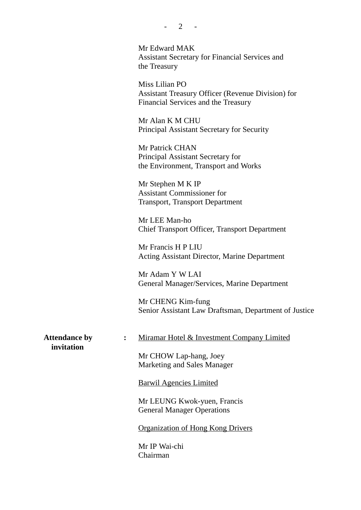Mr Edward MAK Assistant Secretary for Financial Services and the Treasury

Miss Lilian PO Assistant Treasury Officer (Revenue Division) for Financial Services and the Treasury

Mr Alan K M CHU Principal Assistant Secretary for Security

Mr Patrick CHAN Principal Assistant Secretary for the Environment, Transport and Works

Mr Stephen M K IP Assistant Commissioner for Transport, Transport Department

Mr LEE Man-ho Chief Transport Officer, Transport Department

Mr Francis H P LIU Acting Assistant Director, Marine Department

Mr Adam Y W LAI General Manager/Services, Marine Department

Mr CHENG Kim-fung Senior Assistant Law Draftsman, Department of Justice

 **invitation**

Attendance by : Miramar Hotel & Investment Company Limited

Mr CHOW Lap-hang, Joey Marketing and Sales Manager

Barwil Agencies Limited

Mr LEUNG Kwok-yuen, Francis General Manager Operations

Organization of Hong Kong Drivers

Mr IP Wai-chi Chairman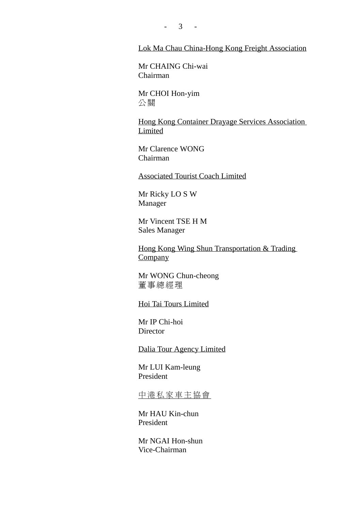$- 3 - -$ 

#### Lok Ma Chau China-Hong Kong Freight Association

Mr CHAING Chi-wai Chairman

Mr CHOI Hon-yim 公關

Hong Kong Container Drayage Services Association Limited

Mr Clarence WONG Chairman

Associated Tourist Coach Limited

Mr Ricky LO S W Manager

Mr Vincent TSE H M Sales Manager

Hong Kong Wing Shun Transportation & Trading **Company** 

Mr WONG Chun-cheong 董事總經理

Hoi Tai Tours Limited

Mr IP Chi-hoi **Director** 

Dalia Tour Agency Limited

Mr LUI Kam-leung President

中港私家車主協會

Mr HAU Kin-chun President

Mr NGAI Hon-shun Vice-Chairman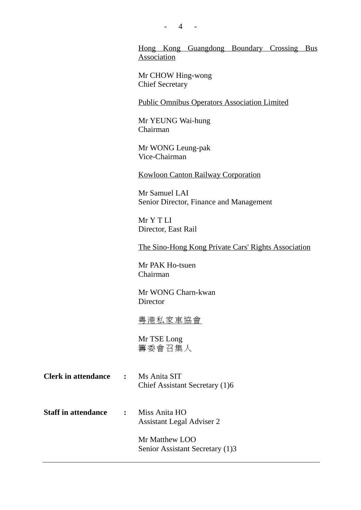$- 4 -$ 

Hong Kong Guangdong Boundary Crossing Bus Association

Mr CHOW Hing-wong Chief Secretary

Public Omnibus Operators Association Limited

Mr YEUNG Wai-hung Chairman

Mr WONG Leung-pak Vice-Chairman

Kowloon Canton Railway Corporation

Mr Samuel LAI Senior Director, Finance and Management

Mr Y T LI Director, East Rail

The Sino-Hong Kong Private Cars' Rights Association

Mr PAK Ho-tsuen Chairman

Mr WONG Charn-kwan **Director** 

粵港私家車協會

Mr TSE Long 籌委會召集人

| <b>Clerk in attendance</b> | Ms Anita SIT                   |
|----------------------------|--------------------------------|
|                            | Chief Assistant Secretary (1)6 |

**Staff in attendance :** Miss Anita HO Assistant Legal Adviser 2

> Mr Matthew LOO Senior Assistant Secretary (1)3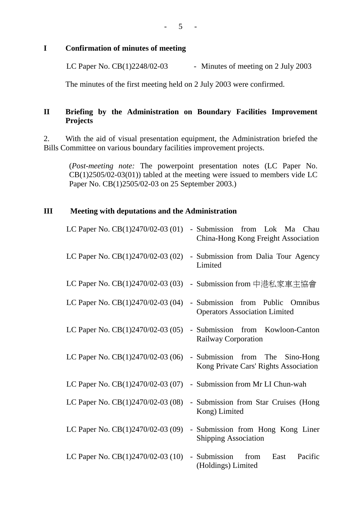- 5 -

#### **I Confirmation of minutes of meeting**

LC Paper No.  $CB(1)2248/02-03$  - Minutes of meeting on 2 July 2003

The minutes of the first meeting held on 2 July 2003 were confirmed.

# **II Briefing by the Administration on Boundary Facilities Improvement Projects**

2. With the aid of visual presentation equipment, the Administration briefed the Bills Committee on various boundary facilities improvement projects.

(*Post-meeting note:* The powerpoint presentation notes (LC Paper No.  $CB(1)2505/02-03(01))$  tabled at the meeting were issued to members vide LC Paper No. CB(1)2505/02-03 on 25 September 2003.)

## **III Meeting with deputations and the Administration**

| LC Paper No. $CB(1)2470/02-03(01)$<br>- Submission from Lok Ma Chau<br>China-Hong Kong Freight Association        |
|-------------------------------------------------------------------------------------------------------------------|
| LC Paper No. CB(1)2470/02-03 (02)<br>- Submission from Dalia Tour Agency<br>Limited                               |
| LC Paper No. CB(1)2470/02-03 (03) - Submission from 中港私家車主協會                                                      |
| LC Paper No. CB(1)2470/02-03 (04) - Submission from Public Omnibus<br><b>Operators Association Limited</b>        |
| LC Paper No. CB(1)2470/02-03 (05) - Submission from Kowloon-Canton<br>Railway Corporation                         |
| LC Paper No. $CB(1)2470/02-03(06)$<br>- Submission from The<br>Sino-Hong<br>Kong Private Cars' Rights Association |
| LC Paper No. CB(1)2470/02-03 (07) - Submission from Mr LI Chun-wah                                                |
| LC Paper No. CB(1)2470/02-03 (08)<br>- Submission from Star Cruises (Hong<br>Kong) Limited                        |
| LC Paper No. CB(1)2470/02-03 (09)<br>- Submission from Hong Kong Liner<br><b>Shipping Association</b>             |
| LC Paper No. CB(1)2470/02-03 (10)<br>- Submission from<br>Pacific<br>East<br>(Holdings) Limited                   |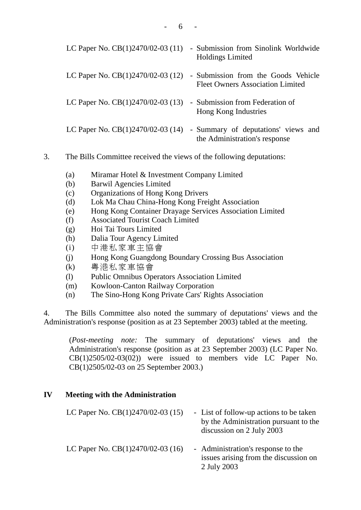|                                    | LC Paper No. $CB(1)2470/02-03(11)$ - Submission from Sinolink Worldwide<br><b>Holdings Limited</b> |
|------------------------------------|----------------------------------------------------------------------------------------------------|
| LC Paper No. $CB(1)2470/02-03(12)$ | - Submission from the Goods Vehicle<br><b>Fleet Owners Association Limited</b>                     |
| LC Paper No. $CB(1)2470/02-03(13)$ | - Submission from Federation of<br>Hong Kong Industries                                            |
| LC Paper No. $CB(1)2470/02-03(14)$ | - Summary of deputations' views and<br>the Administration's response                               |

- 3. The Bills Committee received the views of the following deputations:
	- (a) Miramar Hotel & Investment Company Limited
	- (b) Barwil Agencies Limited
	- (c) Organizations of Hong Kong Drivers
	- (d) Lok Ma Chau China-Hong Kong Freight Association
	- (e) Hong Kong Container Drayage Services Association Limited
	- (f) Associated Tourist Coach Limited
	- (g) Hoi Tai Tours Limited
	- (h) Dalia Tour Agency Limited
	- (i) ㆗港私家車主協會
	- (j) Hong Kong Guangdong Boundary Crossing Bus Association
	- (k) 粵 私家車協會
	- (l) Public Omnibus Operators Association Limited
	- (m) Kowloon-Canton Railway Corporation
	- (n) The Sino-Hong Kong Private Cars' Rights Association

4. The Bills Committee also noted the summary of deputations' views and the Administration's response (position as at 23 September 2003) tabled at the meeting.

(*Post-meeting note:* The summary of deputations' views and the Administration's response (position as at 23 September 2003) (LC Paper No. CB(1)2505/02-03(02)) were issued to members vide LC Paper No. CB(1)2505/02-03 on 25 September 2003.)

#### **IV Meeting with the Administration**

| LC Paper No. $CB(1)2470/02-03(15)$ | - List of follow-up actions to be taken<br>by the Administration pursuant to the<br>discussion on 2 July 2003 |
|------------------------------------|---------------------------------------------------------------------------------------------------------------|
| LC Paper No. $CB(1)2470/02-03(16)$ | - Administration's response to the<br>issues arising from the discussion on<br>2 July 2003                    |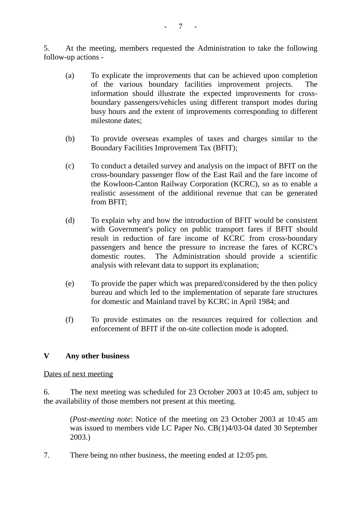5. At the meeting, members requested the Administration to take the following follow-up actions -

- (a) To explicate the improvements that can be achieved upon completion of the various boundary facilities improvement projects. The information should illustrate the expected improvements for crossboundary passengers/vehicles using different transport modes during busy hours and the extent of improvements corresponding to different milestone dates;
- (b) To provide overseas examples of taxes and charges similar to the Boundary Facilities Improvement Tax (BFIT);
- (c) To conduct a detailed survey and analysis on the impact of BFIT on the cross-boundary passenger flow of the East Rail and the fare income of the Kowloon-Canton Railway Corporation (KCRC), so as to enable a realistic assessment of the additional revenue that can be generated from BFIT;
- (d) To explain why and how the introduction of BFIT would be consistent with Government's policy on public transport fares if BFIT should result in reduction of fare income of KCRC from cross-boundary passengers and hence the pressure to increase the fares of KCRC's domestic routes. The Administration should provide a scientific analysis with relevant data to support its explanation;
- (e) To provide the paper which was prepared/considered by the then policy bureau and which led to the implementation of separate fare structures for domestic and Mainland travel by KCRC in April 1984; and
- (f) To provide estimates on the resources required for collection and enforcement of BFIT if the on-site collection mode is adopted.

#### **V Any other business**

#### Dates of next meeting

6. The next meeting was scheduled for 23 October 2003 at 10:45 am, subject to the availability of those members not present at this meeting.

(*Post-meeting note*: Notice of the meeting on 23 October 2003 at 10:45 am was issued to members vide LC Paper No. CB(1)4/03-04 dated 30 September 2003.)

7. There being no other business, the meeting ended at 12:05 pm.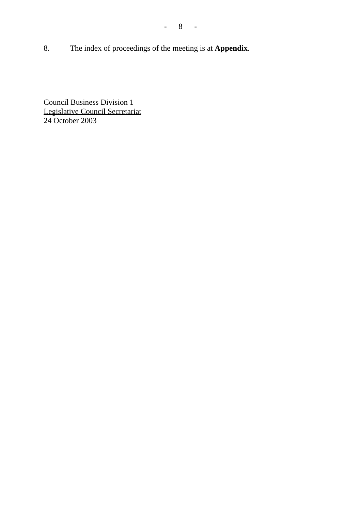8. The index of proceedings of the meeting is at **Appendix**.

- 8 -

Council Business Division 1 Legislative Council Secretariat 24 October 2003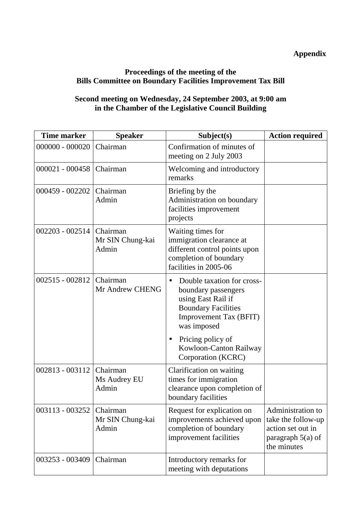# **Appendix**

# **Proceedings of the meeting of the Bills Committee on Boundary Facilities Improvement Tax Bill**

# **Second meeting on Wednesday, 24 September 2003, at 9:00 am in the Chamber of the Legislative Council Building**

| <b>Time marker</b> | <b>Speaker</b>                        | Subject(s)                                                                                                                                            | <b>Action required</b>                                                                             |
|--------------------|---------------------------------------|-------------------------------------------------------------------------------------------------------------------------------------------------------|----------------------------------------------------------------------------------------------------|
| $000000 - 000020$  | Chairman                              | Confirmation of minutes of<br>meeting on 2 July 2003                                                                                                  |                                                                                                    |
| 000021 - 000458    | Chairman                              | Welcoming and introductory<br>remarks                                                                                                                 |                                                                                                    |
| 000459 - 002202    | Chairman<br>Admin                     | Briefing by the<br>Administration on boundary<br>facilities improvement<br>projects                                                                   |                                                                                                    |
| $002203 - 002514$  | Chairman<br>Mr SIN Chung-kai<br>Admin | Waiting times for<br>immigration clearance at<br>different control points upon<br>completion of boundary<br>facilities in 2005-06                     |                                                                                                    |
| $002515 - 002812$  | Chairman<br>Mr Andrew CHENG           | Double taxation for cross-<br>boundary passengers<br>using East Rail if<br><b>Boundary Facilities</b><br><b>Improvement Tax (BFIT)</b><br>was imposed |                                                                                                    |
|                    |                                       | Pricing policy of<br>$\bullet$<br>Kowloon-Canton Railway<br>Corporation (KCRC)                                                                        |                                                                                                    |
| 002813 - 003112    | Chairman<br>Ms Audrey EU<br>Admin     | Clarification on waiting<br>times for immigration<br>clearance upon completion of<br>boundary facilities                                              |                                                                                                    |
| 003113 - 003252    | Chairman<br>Mr SIN Chung-kai<br>Admin | Request for explication on<br>improvements achieved upon<br>completion of boundary<br>improvement facilities                                          | Administration to<br>take the follow-up<br>action set out in<br>paragraph $5(a)$ of<br>the minutes |
| 003253 - 003409    | Chairman                              | Introductory remarks for<br>meeting with deputations                                                                                                  |                                                                                                    |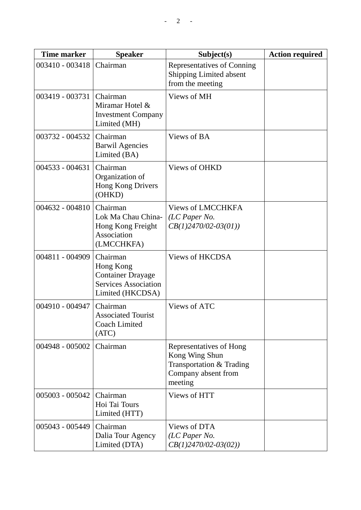| <b>Time marker</b> | <b>Speaker</b>                                                                                       | Subject(s)                                                                                              | <b>Action required</b> |
|--------------------|------------------------------------------------------------------------------------------------------|---------------------------------------------------------------------------------------------------------|------------------------|
| 003410 - 003418    | Chairman                                                                                             | Representatives of Conning<br><b>Shipping Limited absent</b><br>from the meeting                        |                        |
| 003419 - 003731    | Chairman<br>Miramar Hotel &<br><b>Investment Company</b><br>Limited (MH)                             | Views of MH                                                                                             |                        |
| 003732 - 004532    | Chairman<br><b>Barwil Agencies</b><br>Limited (BA)                                                   | Views of BA                                                                                             |                        |
| 004533 - 004631    | Chairman<br>Organization of<br>Hong Kong Drivers<br>(OHKD)                                           | <b>Views of OHKD</b>                                                                                    |                        |
| 004632 - 004810    | Chairman<br>Lok Ma Chau China-<br>Hong Kong Freight<br>Association<br>(LMCCHKFA)                     | <b>Views of LMCCHKFA</b><br>(LC Paper No.<br>$CB(1)2470/02-03(01))$                                     |                        |
| 004811 - 004909    | Chairman<br>Hong Kong<br><b>Container Drayage</b><br><b>Services Association</b><br>Limited (HKCDSA) | <b>Views of HKCDSA</b>                                                                                  |                        |
| 004910 - 004947    | Chairman<br><b>Associated Tourist</b><br><b>Coach Limited</b><br>(ATC)                               | Views of ATC                                                                                            |                        |
| 004948 - 005002    | Chairman                                                                                             | Representatives of Hong<br>Kong Wing Shun<br>Transportation & Trading<br>Company absent from<br>meeting |                        |
| 005003 - 005042    | Chairman<br>Hoi Tai Tours<br>Limited (HTT)                                                           | Views of HTT                                                                                            |                        |
| 005043 - 005449    | Chairman<br>Dalia Tour Agency<br>Limited (DTA)                                                       | Views of DTA<br>(LC Paper No.<br>$CB(1)2470/02-03(02))$                                                 |                        |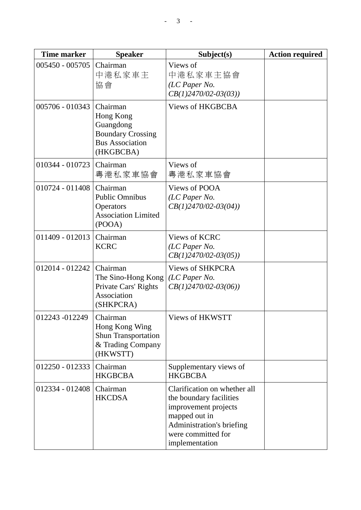| Time marker     | <b>Speaker</b>                                                                                        | Subject(s)                                                                                                                                                            | <b>Action required</b> |
|-----------------|-------------------------------------------------------------------------------------------------------|-----------------------------------------------------------------------------------------------------------------------------------------------------------------------|------------------------|
| 005450 - 005705 | Chairman<br>中港私家車主<br>協會                                                                              | Views of<br>中港私家車主協會<br>(LC Paper No.<br>$CB(1)2470/02-03(03))$                                                                                                       |                        |
| 005706 - 010343 | Chairman<br>Hong Kong<br>Guangdong<br><b>Boundary Crossing</b><br><b>Bus Association</b><br>(HKGBCBA) | <b>Views of HKGBCBA</b>                                                                                                                                               |                        |
| 010344 - 010723 | Chairman<br>粤港私家車協會                                                                                   | Views of<br>粤港私家車協會                                                                                                                                                   |                        |
| 010724 - 011408 | Chairman<br><b>Public Omnibus</b><br>Operators<br><b>Association Limited</b><br>(POOA)                | <b>Views of POOA</b><br>(LC Paper No.<br>$CB(1)2470/02-03(04))$                                                                                                       |                        |
| 011409 - 012013 | Chairman<br><b>KCRC</b>                                                                               | <b>Views of KCRC</b><br>(LC Paper No.<br>$CB(1)2470/02-03(05))$                                                                                                       |                        |
| 012014 - 012242 | Chairman<br>The Sino-Hong Kong<br>Private Cars' Rights<br>Association<br>(SHKPCRA)                    | <b>Views of SHKPCRA</b><br>(LC Paper No.<br>$CB(1)2470/02-03(06))$                                                                                                    |                        |
| 012243 -012249  | Chairman<br>Hong Kong Wing<br><b>Shun Transportation</b><br>& Trading Company<br>(HKWSTT)             | Views of HKWSTT                                                                                                                                                       |                        |
| 012250 - 012333 | Chairman<br><b>HKGBCBA</b>                                                                            | Supplementary views of<br><b>HKGBCBA</b>                                                                                                                              |                        |
| 012334 - 012408 | Chairman<br><b>HKCDSA</b>                                                                             | Clarification on whether all<br>the boundary facilities<br>improvement projects<br>mapped out in<br>Administration's briefing<br>were committed for<br>implementation |                        |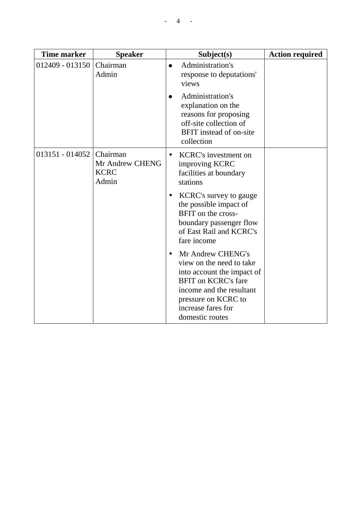| <b>Time marker</b> | <b>Speaker</b>                                      | Subject(s)                                                                                                                                                                                                    | <b>Action required</b> |
|--------------------|-----------------------------------------------------|---------------------------------------------------------------------------------------------------------------------------------------------------------------------------------------------------------------|------------------------|
| 012409 - 013150    | Chairman<br>Admin                                   | Administration's<br>response to deputations'<br>views                                                                                                                                                         |                        |
|                    |                                                     | Administration's<br>explanation on the<br>reasons for proposing<br>off-site collection of<br>BFIT instead of on-site<br>collection                                                                            |                        |
| 013151 - 014052    | Chairman<br>Mr Andrew CHENG<br><b>KCRC</b><br>Admin | <b>KCRC's investment on</b><br>$\bullet$<br>improving KCRC<br>facilities at boundary<br>stations                                                                                                              |                        |
|                    |                                                     | <b>KCRC's survey to gauge</b><br>the possible impact of<br>BFIT on the cross-<br>boundary passenger flow<br>of East Rail and KCRC's<br>fare income                                                            |                        |
|                    |                                                     | Mr Andrew CHENG's<br>view on the need to take<br>into account the impact of<br><b>BFIT</b> on <b>KCRC</b> 's fare<br>income and the resultant<br>pressure on KCRC to<br>increase fares for<br>domestic routes |                        |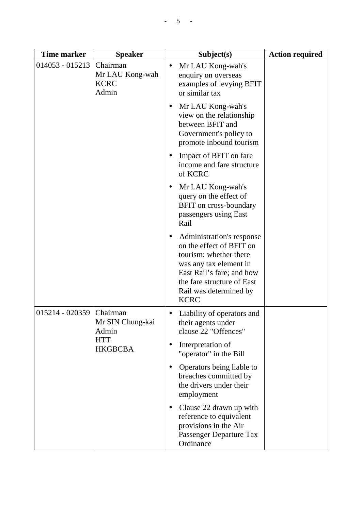| <b>Time marker</b> | <b>Speaker</b>                                      | Subject(s)                                                                                                                                                                                                    | <b>Action required</b> |
|--------------------|-----------------------------------------------------|---------------------------------------------------------------------------------------------------------------------------------------------------------------------------------------------------------------|------------------------|
| 014053 - 015213    | Chairman<br>Mr LAU Kong-wah<br><b>KCRC</b><br>Admin | Mr LAU Kong-wah's<br>$\bullet$<br>enquiry on overseas<br>examples of levying BFIT<br>or similar tax                                                                                                           |                        |
|                    |                                                     | Mr LAU Kong-wah's<br>view on the relationship<br>between BFIT and<br>Government's policy to<br>promote inbound tourism                                                                                        |                        |
|                    |                                                     | Impact of BFIT on fare<br>income and fare structure<br>of KCRC                                                                                                                                                |                        |
|                    |                                                     | Mr LAU Kong-wah's<br>query on the effect of<br>BFIT on cross-boundary<br>passengers using East<br>Rail                                                                                                        |                        |
|                    |                                                     | Administration's response<br>on the effect of BFIT on<br>tourism; whether there<br>was any tax element in<br>East Rail's fare; and how<br>the fare structure of East<br>Rail was determined by<br><b>KCRC</b> |                        |
| 015214 - 020359    | Chairman<br>Mr SIN Chung-kai<br>Admin               | Liability of operators and<br>their agents under<br>clause 22 "Offences"                                                                                                                                      |                        |
| <b>HKGBCBA</b>     | <b>HTT</b>                                          | Interpretation of<br>"operator" in the Bill                                                                                                                                                                   |                        |
|                    |                                                     | Operators being liable to<br>breaches committed by<br>the drivers under their<br>employment                                                                                                                   |                        |
|                    |                                                     | Clause 22 drawn up with<br>reference to equivalent<br>provisions in the Air<br>Passenger Departure Tax<br>Ordinance                                                                                           |                        |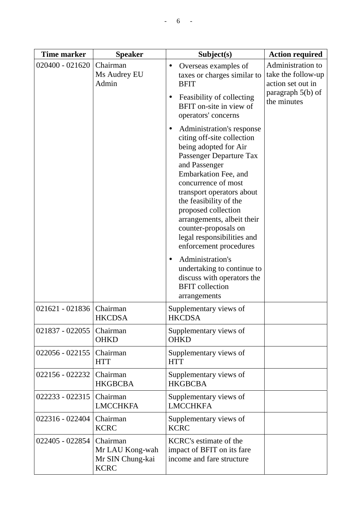| <b>Time marker</b> | <b>Speaker</b>                                                 | Subject(s)                                                                                                                                                                                                                                                                                                                                                              | <b>Action required</b>                                                                             |
|--------------------|----------------------------------------------------------------|-------------------------------------------------------------------------------------------------------------------------------------------------------------------------------------------------------------------------------------------------------------------------------------------------------------------------------------------------------------------------|----------------------------------------------------------------------------------------------------|
| 020400 - 021620    | Chairman<br>Ms Audrey EU<br>Admin                              | Overseas examples of<br>taxes or charges similar to<br><b>BFIT</b><br>Feasibility of collecting<br>BFIT on-site in view of<br>operators' concerns                                                                                                                                                                                                                       | Administration to<br>take the follow-up<br>action set out in<br>paragraph $5(b)$ of<br>the minutes |
|                    |                                                                | Administration's response<br>citing off-site collection<br>being adopted for Air<br>Passenger Departure Tax<br>and Passenger<br>Embarkation Fee, and<br>concurrence of most<br>transport operators about<br>the feasibility of the<br>proposed collection<br>arrangements, albeit their<br>counter-proposals on<br>legal responsibilities and<br>enforcement procedures |                                                                                                    |
|                    |                                                                | Administration's<br>undertaking to continue to<br>discuss with operators the<br><b>BFIT</b> collection<br>arrangements                                                                                                                                                                                                                                                  |                                                                                                    |
| 021621 - 021836    | Chairman<br><b>HKCDSA</b>                                      | Supplementary views of<br><b>HKCDSA</b>                                                                                                                                                                                                                                                                                                                                 |                                                                                                    |
| 021837 - 022055    | Chairman<br><b>OHKD</b>                                        | Supplementary views of<br><b>OHKD</b>                                                                                                                                                                                                                                                                                                                                   |                                                                                                    |
| 022056 - 022155    | Chairman<br><b>HTT</b>                                         | Supplementary views of<br><b>HTT</b>                                                                                                                                                                                                                                                                                                                                    |                                                                                                    |
| 022156 - 022232    | Chairman<br><b>HKGBCBA</b>                                     | Supplementary views of<br><b>HKGBCBA</b>                                                                                                                                                                                                                                                                                                                                |                                                                                                    |
| 022233 - 022315    | Chairman<br><b>LMCCHKFA</b>                                    | Supplementary views of<br><b>LMCCHKFA</b>                                                                                                                                                                                                                                                                                                                               |                                                                                                    |
| 022316 - 022404    | Chairman<br><b>KCRC</b>                                        | Supplementary views of<br><b>KCRC</b>                                                                                                                                                                                                                                                                                                                                   |                                                                                                    |
| 022405 - 022854    | Chairman<br>Mr LAU Kong-wah<br>Mr SIN Chung-kai<br><b>KCRC</b> | <b>KCRC's estimate of the</b><br>impact of BFIT on its fare<br>income and fare structure                                                                                                                                                                                                                                                                                |                                                                                                    |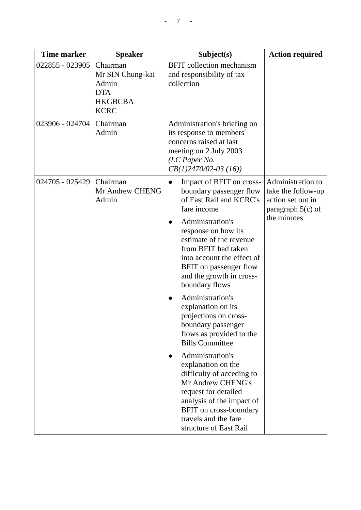| <b>Time marker</b> | <b>Speaker</b>                                                                       | Subject(s)                                                                                                                                                                                                                                                                                                                                                                                                                                                                                                                                                                                                                                                                          | <b>Action required</b>                                                                             |
|--------------------|--------------------------------------------------------------------------------------|-------------------------------------------------------------------------------------------------------------------------------------------------------------------------------------------------------------------------------------------------------------------------------------------------------------------------------------------------------------------------------------------------------------------------------------------------------------------------------------------------------------------------------------------------------------------------------------------------------------------------------------------------------------------------------------|----------------------------------------------------------------------------------------------------|
| 022855 - 023905    | Chairman<br>Mr SIN Chung-kai<br>Admin<br><b>DTA</b><br><b>HKGBCBA</b><br><b>KCRC</b> | <b>BFIT</b> collection mechanism<br>and responsibility of tax<br>collection                                                                                                                                                                                                                                                                                                                                                                                                                                                                                                                                                                                                         |                                                                                                    |
| 023906 - 024704    | Chairman<br>Admin                                                                    | Administration's briefing on<br>its response to members'<br>concerns raised at last<br>meeting on 2 July 2003<br>(LC Paper No.<br>$CB(1)2470/02-03(16))$                                                                                                                                                                                                                                                                                                                                                                                                                                                                                                                            |                                                                                                    |
| 024705 - 025429    | Chairman<br>Mr Andrew CHENG<br>Admin                                                 | Impact of BFIT on cross-<br>boundary passenger flow<br>of East Rail and KCRC's<br>fare income<br>Administration's<br>response on how its<br>estimate of the revenue<br>from BFIT had taken<br>into account the effect of<br>BFIT on passenger flow<br>and the growth in cross-<br>boundary flows<br>Administration's<br>explanation on its<br>projections on cross-<br>boundary passenger<br>flows as provided to the<br><b>Bills Committee</b><br>Administration's<br>explanation on the<br>difficulty of acceding to<br>Mr Andrew CHENG's<br>request for detailed<br>analysis of the impact of<br><b>BFIT</b> on cross-boundary<br>travels and the fare<br>structure of East Rail | Administration to<br>take the follow-up<br>action set out in<br>paragraph $5(c)$ of<br>the minutes |